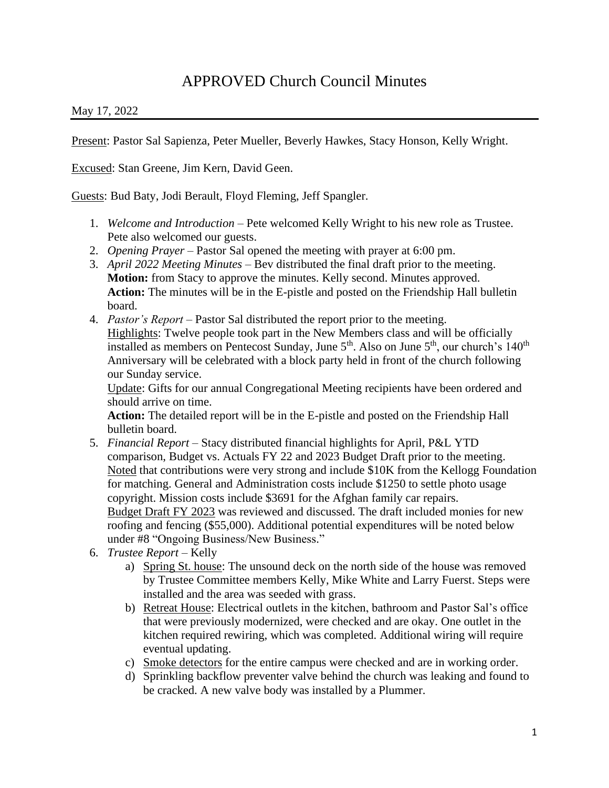## APPROVED Church Council Minutes

## May 17, 2022

Present: Pastor Sal Sapienza, Peter Mueller, Beverly Hawkes, Stacy Honson, Kelly Wright.

Excused: Stan Greene, Jim Kern, David Geen.

Guests: Bud Baty, Jodi Berault, Floyd Fleming, Jeff Spangler.

- 1. *Welcome and Introduction –* Pete welcomed Kelly Wright to his new role as Trustee. Pete also welcomed our guests.
- 2. *Opening Prayer –* Pastor Sal opened the meeting with prayer at 6:00 pm.
- 3. *April 2022 Meeting Minutes –* Bev distributed the final draft prior to the meeting. **Motion:** from Stacy to approve the minutes. Kelly second. Minutes approved. **Action:** The minutes will be in the E-pistle and posted on the Friendship Hall bulletin board.
- 4. *Pastor's Report –* Pastor Sal distributed the report prior to the meeting.

Highlights: Twelve people took part in the New Members class and will be officially installed as members on Pentecost Sunday, June  $5<sup>th</sup>$ . Also on June  $5<sup>th</sup>$ , our church's 140<sup>th</sup> Anniversary will be celebrated with a block party held in front of the church following our Sunday service.

Update: Gifts for our annual Congregational Meeting recipients have been ordered and should arrive on time.

**Action:** The detailed report will be in the E-pistle and posted on the Friendship Hall bulletin board.

- 5. *Financial Report –* Stacy distributed financial highlights for April, P&L YTD comparison, Budget vs. Actuals FY 22 and 2023 Budget Draft prior to the meeting. Noted that contributions were very strong and include \$10K from the Kellogg Foundation for matching. General and Administration costs include \$1250 to settle photo usage copyright. Mission costs include \$3691 for the Afghan family car repairs. Budget Draft FY 2023 was reviewed and discussed. The draft included monies for new roofing and fencing (\$55,000). Additional potential expenditures will be noted below under #8 "Ongoing Business/New Business."
- 6. *Trustee Report –* Kelly
	- a) Spring St. house: The unsound deck on the north side of the house was removed by Trustee Committee members Kelly, Mike White and Larry Fuerst. Steps were installed and the area was seeded with grass.
	- b) Retreat House: Electrical outlets in the kitchen, bathroom and Pastor Sal's office that were previously modernized, were checked and are okay. One outlet in the kitchen required rewiring, which was completed. Additional wiring will require eventual updating.
	- c) Smoke detectors for the entire campus were checked and are in working order.
	- d) Sprinkling backflow preventer valve behind the church was leaking and found to be cracked. A new valve body was installed by a Plummer.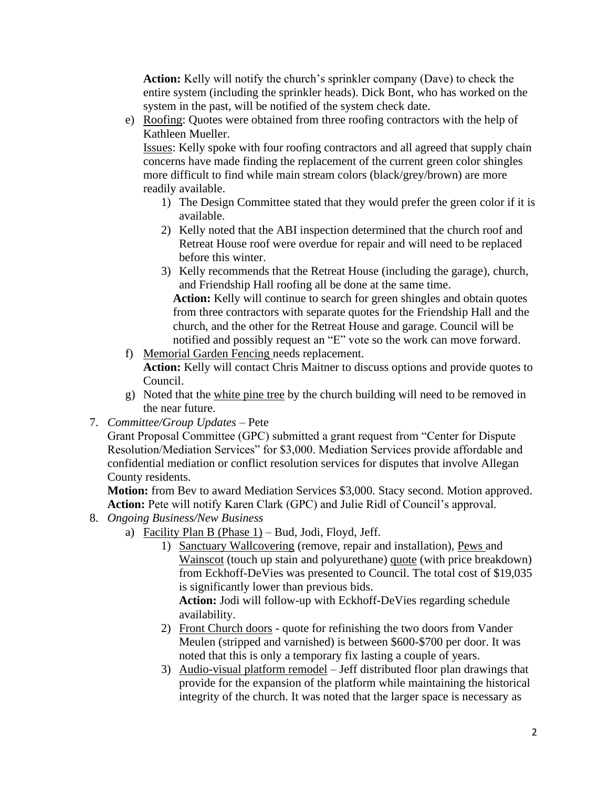**Action:** Kelly will notify the church's sprinkler company (Dave) to check the entire system (including the sprinkler heads). Dick Bont, who has worked on the system in the past, will be notified of the system check date.

e) Roofing: Quotes were obtained from three roofing contractors with the help of Kathleen Mueller.

Issues: Kelly spoke with four roofing contractors and all agreed that supply chain concerns have made finding the replacement of the current green color shingles more difficult to find while main stream colors (black/grey/brown) are more readily available.

- 1) The Design Committee stated that they would prefer the green color if it is available.
- 2) Kelly noted that the ABI inspection determined that the church roof and Retreat House roof were overdue for repair and will need to be replaced before this winter.
- 3) Kelly recommends that the Retreat House (including the garage), church, and Friendship Hall roofing all be done at the same time.  **Action:** Kelly will continue to search for green shingles and obtain quotes from three contractors with separate quotes for the Friendship Hall and the church, and the other for the Retreat House and garage. Council will be notified and possibly request an "E" vote so the work can move forward.
- f) Memorial Garden Fencing needs replacement. **Action:** Kelly will contact Chris Maitner to discuss options and provide quotes to Council.
- g) Noted that the white pine tree by the church building will need to be removed in the near future.
- 7. *Committee/Group Updates –* Pete

Grant Proposal Committee (GPC) submitted a grant request from "Center for Dispute Resolution/Mediation Services" for \$3,000. Mediation Services provide affordable and confidential mediation or conflict resolution services for disputes that involve Allegan County residents.

**Motion:** from Bev to award Mediation Services \$3,000. Stacy second. Motion approved. **Action:** Pete will notify Karen Clark (GPC) and Julie Ridl of Council's approval.

- 8. *Ongoing Business/New Business*
	- a) Facility Plan B (Phase 1) Bud, Jodi, Floyd, Jeff.
		- 1) Sanctuary Wallcovering (remove, repair and installation), Pews and Wainscot (touch up stain and polyurethane) quote (with price breakdown) from Eckhoff-DeVies was presented to Council. The total cost of \$19,035 is significantly lower than previous bids.

**Action:** Jodi will follow-up with Eckhoff-DeVies regarding schedule availability.

- 2) Front Church doors quote for refinishing the two doors from Vander Meulen (stripped and varnished) is between \$600-\$700 per door. It was noted that this is only a temporary fix lasting a couple of years.
- 3) Audio-visual platform remodel Jeff distributed floor plan drawings that provide for the expansion of the platform while maintaining the historical integrity of the church. It was noted that the larger space is necessary as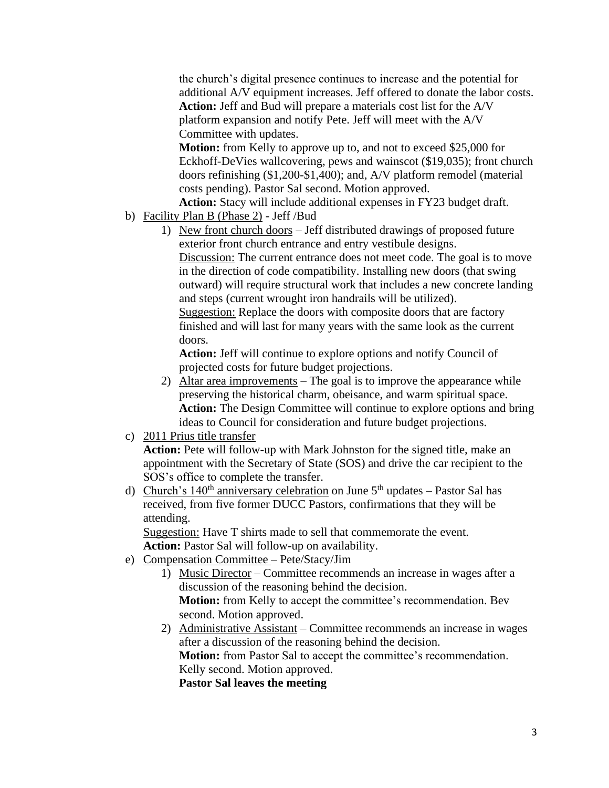the church's digital presence continues to increase and the potential for additional A/V equipment increases. Jeff offered to donate the labor costs. **Action:** Jeff and Bud will prepare a materials cost list for the A/V platform expansion and notify Pete. Jeff will meet with the A/V Committee with updates.

**Motion:** from Kelly to approve up to, and not to exceed \$25,000 for Eckhoff-DeVies wallcovering, pews and wainscot (\$19,035); front church doors refinishing (\$1,200-\$1,400); and, A/V platform remodel (material costs pending). Pastor Sal second. Motion approved.

**Action:** Stacy will include additional expenses in FY23 budget draft. b) Facility Plan B (Phase 2) - Jeff /Bud

1) New front church doors – Jeff distributed drawings of proposed future exterior front church entrance and entry vestibule designs. Discussion: The current entrance does not meet code. The goal is to move in the direction of code compatibility. Installing new doors (that swing outward) will require structural work that includes a new concrete landing and steps (current wrought iron handrails will be utilized). Suggestion: Replace the doors with composite doors that are factory finished and will last for many years with the same look as the current doors.

**Action:** Jeff will continue to explore options and notify Council of projected costs for future budget projections.

- 2) Altar area improvements The goal is to improve the appearance while preserving the historical charm, obeisance, and warm spiritual space. **Action:** The Design Committee will continue to explore options and bring ideas to Council for consideration and future budget projections.
- c) 2011 Prius title transfer

**Action:** Pete will follow-up with Mark Johnston for the signed title, make an appointment with the Secretary of State (SOS) and drive the car recipient to the SOS's office to complete the transfer.

d) Church's 140<sup>th</sup> anniversary celebration on June  $5<sup>th</sup>$  updates – Pastor Sal has received, from five former DUCC Pastors, confirmations that they will be attending.

Suggestion: Have T shirts made to sell that commemorate the event. **Action:** Pastor Sal will follow-up on availability.

- e) Compensation Committee Pete/Stacy/Jim
	- 1) Music Director Committee recommends an increase in wages after a discussion of the reasoning behind the decision. **Motion:** from Kelly to accept the committee's recommendation. Bev second. Motion approved.
	- 2) Administrative Assistant Committee recommends an increase in wages after a discussion of the reasoning behind the decision. **Motion:** from Pastor Sal to accept the committee's recommendation. Kelly second. Motion approved. **Pastor Sal leaves the meeting**